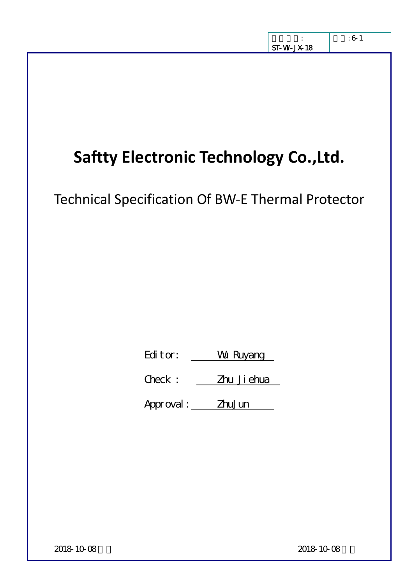# **Saftty Electronic Technology Co.,Ltd.**

Technical Specification Of BW‐E Thermal Protector

Editor: Wu Ruyang

Check : <u>Zhu Jiehua</u>

Approval: ZhuJun

2018-10-08 发布 2018-10-08 实施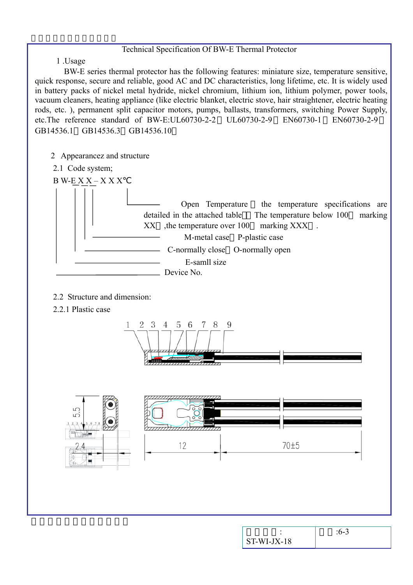#### Technical Specification Of BW-E Thermal Protector

1 .Usage

BW-E series thermal protector has the following features: miniature size, temperature sensitive, quick response, secure and reliable, good AC and DC characteristics, long lifetime, etc. It is widely used in battery packs of nickel metal hydride, nickel chromium, lithium ion, lithium polymer, power tools, vacuum cleaners, heating appliance (like electric blanket, electric stove, hair straightener, electric heating rods, etc. ), permanent split capacitor motors, pumps, ballasts, transformers, switching Power Supply, etc.The reference standard of BW-E:UL60730-2-2 UL60730-2-9 EN60730-1 EN60730-2-9 GB14536.1 GB14536.3 GB14536.10

- 2 Appearancez and structure
- 2.1 Code system;

 $B$  W-E X X – X X X

 Open Temperature the temperature specifications are detailed in the attached table The temperature below 100 marking XX , the temperature over 100 marking XXX. M-metal case P-plastic case C-normally close O-normally open E-samll size Device No.

- 2.2 Structure and dimension:
- 2.2.1 Plastic case





| $ST-WI-JX-18$ |  |
|---------------|--|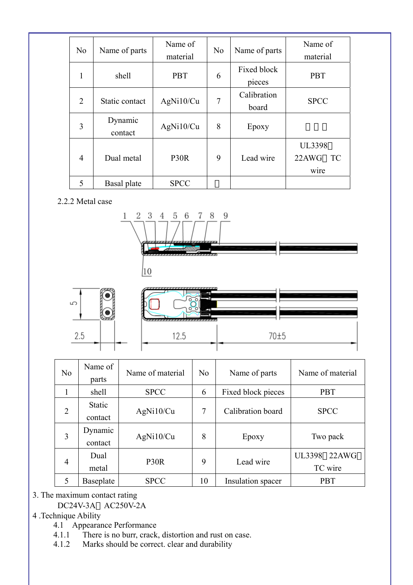| N <sub>o</sub> | Name of parts      | Name of<br>material | N <sub>0</sub> | Name of parts         | Name of<br>material                         |
|----------------|--------------------|---------------------|----------------|-----------------------|---------------------------------------------|
| 1              | shell              | <b>PBT</b>          | 6              | Fixed block<br>pieces | <b>PBT</b>                                  |
| $\overline{2}$ | Static contact     | AgNi10/Cu           | $\overline{7}$ | Calibration<br>board  | <b>SPCC</b>                                 |
| 3              | Dynamic<br>contact | AgNi10/Cu           | 8              | Epoxy                 |                                             |
| $\overline{4}$ | Dual metal         | P <sub>30</sub> R   | 9              | Lead wire             | <b>UL3398</b><br>22AWG<br><b>TC</b><br>wire |
| 5              | Basal plate        | <b>SPCC</b>         |                |                       |                                             |

### 2.2.2 Metal case





| N <sub>0</sub> | Name of<br>parts                   | Name of material | N <sub>o</sub> | Name of parts      | Name of material                  |
|----------------|------------------------------------|------------------|----------------|--------------------|-----------------------------------|
|                | shell                              | <b>SPCC</b>      | 6              | Fixed block pieces | <b>PBT</b>                        |
| $\overline{2}$ | <b>Static</b><br>contact           | AgNi10/Cu        | 7              | Calibration board  | <b>SPCC</b>                       |
| 3              | Dynamic<br>contact                 | AgNi10/Cu        | 8              | Epoxy              | Two pack                          |
| 4              | Dual<br>P <sub>30</sub> R<br>metal |                  | 9              | Lead wire          | <b>UL3398</b><br>22AWG<br>TC wire |
| 5              | Baseplate                          | <b>SPCC</b>      | 10             | Insulation spacer  | <b>PBT</b>                        |

3. The maximum contact rating

DC24V-3A AC250V-2A

4 .Technique Ability

- 4.1 Appearance Performance
- 4.1.1 There is no burr, crack, distortion and rust on case.<br>4.1.2 Marks should be correct, clear and durability
- Marks should be correct. clear and durability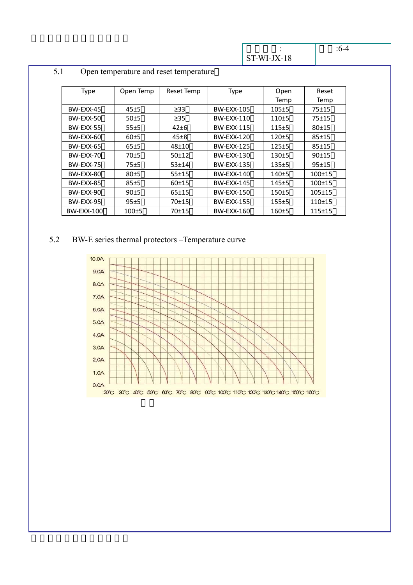$\ddot{\cdot}$ ST-WI-JX-18

| e v<br>٠     |  |
|--------------|--|
| I<br>۰,<br>× |  |

| <b>Type</b>       | Open Temp | Reset Temp | Type              | Open      | Reset      |
|-------------------|-----------|------------|-------------------|-----------|------------|
|                   |           |            |                   | Temp      | Temp       |
| BW-EXX-45         | $45 + 5$  | $\geq$ 33  | <b>BW-EXX-105</b> | $105 + 5$ | $75 + 15$  |
| BW-EXX-50         | 50±5      | $\geq$ 35  | BW-EXX-110        | $110+5$   | 75±15      |
| <b>BW-EXX-55</b>  | 55±5      | $42\pm 6$  | <b>BW-EXX-115</b> | $115+5$   | $80 + 15$  |
| BW-EXX-60         | 60±5      | $45\pm8$   | BW-EXX-120        | $120+5$   | $85 + 15$  |
| BW-EXX-65         | 65±5      | 48±10      | <b>BW-EXX-125</b> | $125 + 5$ | $85 + 15$  |
| BW-EXX-70         | $70+5$    | 50±12      | BW-EXX-130        | $130+5$   | 90±15      |
| BW-EXX-75         | 75±5      | $53 + 14$  | <b>BW-EXX-135</b> | $135+5$   | $95 + 15$  |
| BW-EXX-80         | 80±5      | $55 + 15$  | BW-EXX-140        | $140+5$   | $100+15$   |
| BW-EXX-85         | 85±5      | 60±15      | <b>BW-EXX-145</b> | $145 + 5$ | $100+15$   |
| BW-EXX-90         | 90±5      | $65 + 15$  | <b>BW-EXX-150</b> | $150+5$   | $105 + 15$ |
| BW-EXX-95         | 95±5      | $70 + 15$  | <b>BW-EXX-155</b> | 155±5     | $110+15$   |
| <b>BW-EXX-100</b> | $100+5$   | 70±15      | BW-EXX-160        | $160+5$   | $115+15$   |

## 5.1 Open temperature and reset temperature

## 5.2 BW-E series thermal protectors –Temperature curve

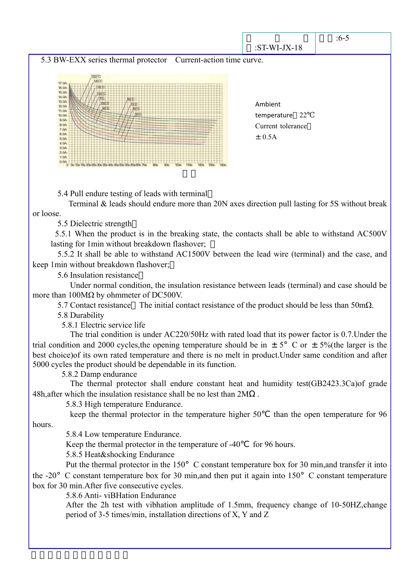

5.4 Pull endure testing of leads with terminal

 Terminal & leads should endure more than 20N axes direction pull lasting for 5S without break or loose.

5.5 Dielectric strength

5.5.1 When the product is in the breaking state, the contacts shall be able to withstand AC500V lasting for 1min without breakdown flashover;

 5.5.2 It shall be able to withstand AC1500V between the lead wire (terminal) and the case, and keep 1min without breakdown flashover;

5.6 Insulation resistance

 Under normal condition, the insulation resistance between leads (terminal) and case should be more than 100MΩ by ohmmeter of DC500V.

5.7 Contact resistance The initial contact resistance of the product should be less than 50mΩ.

5.8 Durability

5.8.1 Electric service life

 The trial condition is under AC220/50Hz with rated load that its power factor is 0.7.Under the trial condition and 2000 cycles, the opening temperature should be in  $\pm$  5° C or  $\pm$  5% (the larger is the best choice)of its own rated temperature and there is no melt in product.Under same condition and after 5000 cycles the product should be dependable in its function.

5.8.2 Damp endurance

 The thermal protector shall endure constant heat and humidity test(GB2423.3Ca)of grade 48h,after which the insulation resistance shall be no lest than 2M .

5.8.3 High temperature Endurance.

keep the thermal protector in the temperature higher 50 than the open temperature for 96 hours.

5.8.4 Low temperature Endurance.

Keep the thermal protector in the temperature of  $-40$  for 96 hours.

5.8.5 Heat&shocking Endurance

Put the thermal protector in the 150° C constant temperature box for 30 min, and transfer it into the -20°C constant temperature box for 30 min,and then put it again into 150°C constant temperature box for 30 min.After five consecutive cycles.

5.8.6 Anti- viBHation Endurance

 After the 2h test with vibhation amplitude of 1.5mm, frequency change of 10-50HZ,change period of 3-5 times/min, installation directions of X, Y and Z